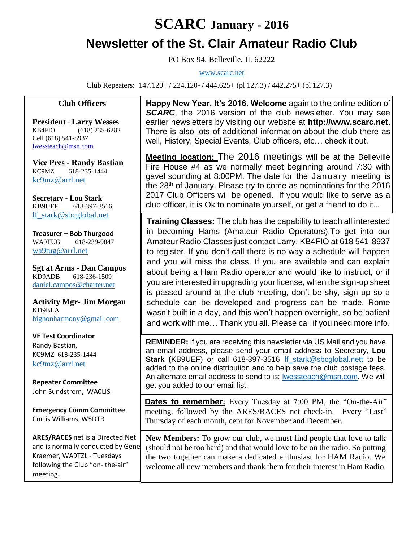## **SCARC January - 2016 Newsletter of the St. Clair Amateur Radio Club**

PO Box 94, Belleville, IL 62222

[www.scarc.net](http://www.scarc.net/)

Club Repeaters: 147.120+ / 224.120- / 444.625+ (pl 127.3) / 442.275+ (pl 127.3)

## **Club Officers**

**President - Larry Wesses** KB4FIO (618) 235-6282 Cell (618) 541-8937 [lwessteach@msn.com](mailto:lwessteach@msn.com)

**Vice Pres - Randy Bastian** KC9MZ 618-235-1444 [kc9mz@arrl.net](mailto:kc9mz@arrl.net)

**Secretary - Lou Stark** KB9UEF 618-397-3516 [lf\\_stark@sbcglobal.net](mailto:lf_stark@sbcglobal.net)

**Treasurer – Bob Thurgood** WA9TUG 618-239-9847 [wa9tug@arrl.net](mailto:wa9tug@arrl.net)

**Sgt at Arms - Dan Campos** KD9ADB 618-236-1509 daniel.campos@charter.net

**Activity Mgr- Jim Morgan** KD9BLA [highonharmony@gmail.com](mailto:highonharmony@gmail.com)

**VE Test Coordinator** Randy Bastian, KC9MZ 618-235-1444 [kc9mz@arrl.net](mailto:kc9mz@arrl.net)

**Repeater Committee** John Sundstrom, WA0LIS

**Emergency Comm Committee** Curtis Williams, W5DTR

**ARES/RACES** net is a Directed Net and is normally conducted by Gene Kraemer, WA9TZL - Tuesdays following the Club "on- the-air" meeting.

**Happy New Year, It's 2016. Welcome** again to the online edition of **SCARC**, the 2016 version of the club newsletter. You may see earlier newsletters by visiting our website at **[http://www.scarc.net](http://www.scarc.net/)**. There is also lots of additional information about the club there as well, History, Special Events, Club officers, etc… check it out.

**Meeting location:** The 2016 meetings will be at the Belleville Fire House #4 as we normally meet beginning around 7:30 with gavel sounding at 8:00PM. The date for the January meeting is the 28th of January. Please try to come as nominations for the 2016 2017 Club Officers will be opened. If you would like to serve as a club officer, it is Ok to nominate yourself, or get a friend to do it…

**Training Classes:** The club has the capability to teach all interested in becoming Hams (Amateur Radio Operators).To get into our Amateur Radio Classes just contact Larry, KB4FIO at 618 541-8937 to register. If you don't call there is no way a schedule will happen and you will miss the class. If you are available and can explain about being a Ham Radio operator and would like to instruct, or if you are interested in upgrading your license, when the sign-up sheet is passed around at the club meeting, don't be shy, sign up so a schedule can be developed and progress can be made. Rome wasn't built in a day, and this won't happen overnight, so be patient and work with me… Thank you all. Please call if you need more info.

**REMINDER:** If you are receiving this newsletter via US Mail and you have an email address, please send your email address to Secretary, **Lou Stark (**KB9UEF) or call 618-397-3516 [lf\\_stark@sbcglobal.nett](mailto:lf_stark@sbcglobal.net) to be added to the online distribution and to help save the club postage fees. An alternate email address to send to is: [lwessteach@msn.com.](mailto:lwessteach@msn.com) We will get you added to our email list.

**Dates to remember:** Every Tuesday at 7:00 PM, the "On-the-Air" meeting, followed by the ARES/RACES net check-in. Every "Last" Thursday of each month, cept for November and December.

**New Members:** To grow our club, we must find people that love to talk (should not be too hard) and that would love to be on the radio. So putting the two together can make a dedicated enthusiast for HAM Radio. We welcome all new members and thank them for their interest in Ham Radio.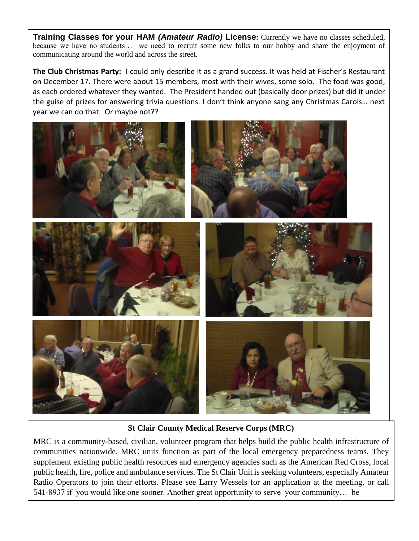**Training Classes for your HAM** *(Amateur Radio)* **License:** Currently we have no classes scheduled, because we have no students… we need to recruit some new folks to our hobby and share the enjoyment of communicating around the world and across the street.

**The Club Christmas Party:** I could only describe it as a grand success. It was held at Fischer's Restaurant on December 17. There were about 15 members, most with their wives, some solo. The food was good, as each ordered whatever they wanted. The President handed out (basically door prizes) but did it under the guise of prizes for answering trivia questions. I don't think anyone sang any Christmas Carols… next year we can do that. Or maybe not??



**St Clair County Medical Reserve Corps (MRC)**

MRC is a community-based, civilian, volunteer program that helps build the public health infrastructure of communities nationwide. MRC units function as part of the local emergency preparedness teams. They supplement existing public health resources and emergency agencies such as the American Red Cross, local public health, fire, police and ambulance services. The St Clair Unit is seeking volunteers, especially Amateur Radio Operators to join their efforts. Please see Larry Wessels for an application at the meeting, or call 541-8937 if you would like one sooner. Another great opportunity to serve your community… be